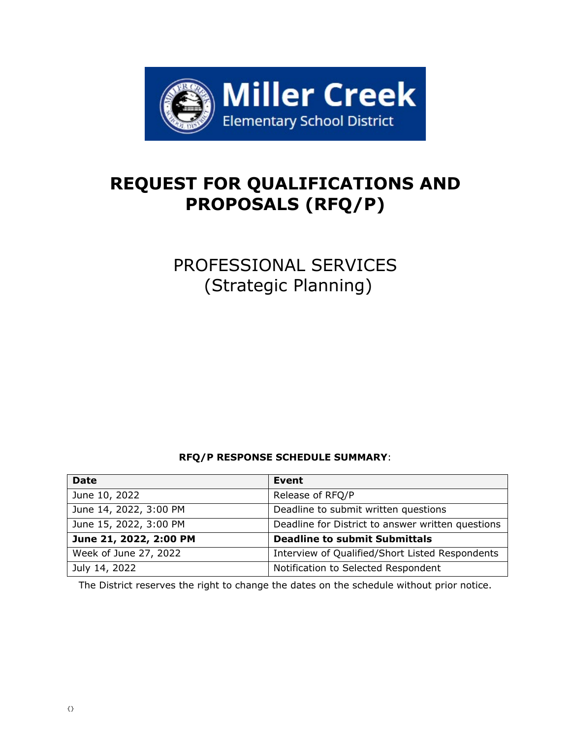

# **REQUEST FOR QUALIFICATIONS AND PROPOSALS (RFQ/P)**

PROFESSIONAL SERVICES (Strategic Planning)

# **RFQ/P RESPONSE SCHEDULE SUMMARY**:

| <b>Date</b>            | Event                                             |
|------------------------|---------------------------------------------------|
| June 10, 2022          | Release of RFQ/P                                  |
| June 14, 2022, 3:00 PM | Deadline to submit written questions              |
| June 15, 2022, 3:00 PM | Deadline for District to answer written questions |
| June 21, 2022, 2:00 PM | <b>Deadline to submit Submittals</b>              |
| Week of June 27, 2022  | Interview of Qualified/Short Listed Respondents   |
| July 14, 2022          | Notification to Selected Respondent               |

The District reserves the right to change the dates on the schedule without prior notice.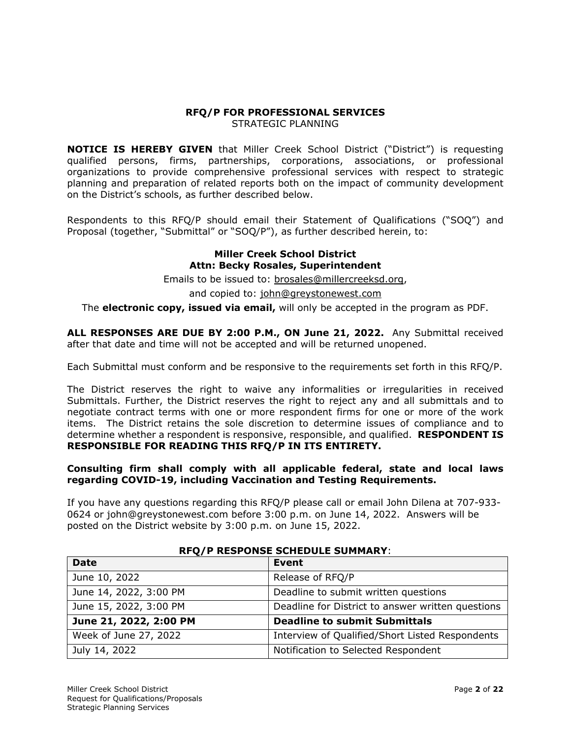### **RFQ/P FOR PROFESSIONAL SERVICES**  STRATEGIC PLANNING

**NOTICE IS HEREBY GIVEN** that Miller Creek School District ("District") is requesting qualified persons, firms, partnerships, corporations, associations, or professional organizations to provide comprehensive professional services with respect to strategic planning and preparation of related reports both on the impact of community development on the District's schools, as further described below.

Respondents to this RFQ/P should email their Statement of Qualifications ("SOQ") and Proposal (together, "Submittal" or "SOQ/P"), as further described herein, to:

### **Miller Creek School District Attn: Becky Rosales, Superintendent**

Emails to be issued to: [brosales@millercreeksd.org,](mailto:brosales@millercreeksd.org)

and copied to: [john@greystonewest.com](mailto:john@greystonewest.com)

The **electronic copy, issued via email,** will only be accepted in the program as PDF.

**ALL RESPONSES ARE DUE BY 2:00 P.M., ON June 21, 2022.** Any Submittal received after that date and time will not be accepted and will be returned unopened.

Each Submittal must conform and be responsive to the requirements set forth in this RFQ/P.

The District reserves the right to waive any informalities or irregularities in received Submittals. Further, the District reserves the right to reject any and all submittals and to negotiate contract terms with one or more respondent firms for one or more of the work items. The District retains the sole discretion to determine issues of compliance and to determine whether a respondent is responsive, responsible, and qualified. **RESPONDENT IS RESPONSIBLE FOR READING THIS RFQ/P IN ITS ENTIRETY.** 

### **Consulting firm shall comply with all applicable federal, state and local laws regarding COVID-19, including Vaccination and Testing Requirements.**

If you have any questions regarding this RFQ/P please call or email John Dilena at 707-933- 0624 or john@greystonewest.com before 3:00 p.m. on June 14, 2022. Answers will be posted on the District website by 3:00 p.m. on June 15, 2022.

| <b>Date</b>            | <b>Event</b>                                      |  |  |
|------------------------|---------------------------------------------------|--|--|
| June 10, 2022          | Release of RFQ/P                                  |  |  |
| June 14, 2022, 3:00 PM | Deadline to submit written questions              |  |  |
| June 15, 2022, 3:00 PM | Deadline for District to answer written questions |  |  |
| June 21, 2022, 2:00 PM | <b>Deadline to submit Submittals</b>              |  |  |
| Week of June 27, 2022  | Interview of Qualified/Short Listed Respondents   |  |  |
| July 14, 2022          | Notification to Selected Respondent               |  |  |

### **RFQ/P RESPONSE SCHEDULE SUMMARY**: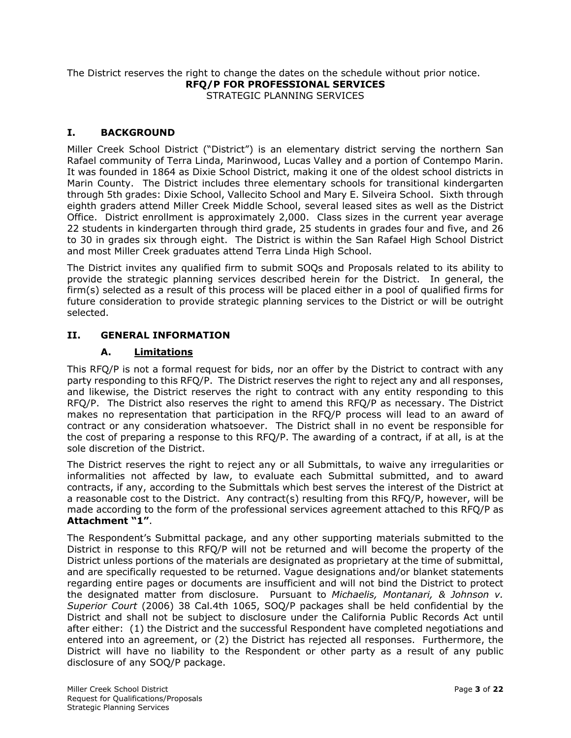The District reserves the right to change the dates on the schedule without prior notice. **RFQ/P FOR PROFESSIONAL SERVICES**  STRATEGIC PLANNING SERVICES

### **I. BACKGROUND**

Miller Creek School District ("District") is an elementary district serving the northern San Rafael community of Terra Linda, Marinwood, Lucas Valley and a portion of Contempo Marin. It was founded in 1864 as Dixie School District, making it one of the oldest school districts in Marin County. The District includes three elementary schools for transitional kindergarten through 5th grades: Dixie School, Vallecito School and Mary E. Silveira School. Sixth through eighth graders attend Miller Creek Middle School, several leased sites as well as the District Office. District enrollment is approximately 2,000. Class sizes in the current year average 22 students in kindergarten through third grade, 25 students in grades four and five, and 26 to 30 in grades six through eight. The District is within the San Rafael High School District and most Miller Creek graduates attend Terra Linda High School.

The District invites any qualified firm to submit SOQs and Proposals related to its ability to provide the strategic planning services described herein for the District. In general, the firm(s) selected as a result of this process will be placed either in a pool of qualified firms for future consideration to provide strategic planning services to the District or will be outright selected.

# **II. GENERAL INFORMATION**

### **A. Limitations**

This RFQ/P is not a formal request for bids, nor an offer by the District to contract with any party responding to this RFQ/P. The District reserves the right to reject any and all responses, and likewise, the District reserves the right to contract with any entity responding to this RFQ/P. The District also reserves the right to amend this RFQ/P as necessary. The District makes no representation that participation in the RFQ/P process will lead to an award of contract or any consideration whatsoever. The District shall in no event be responsible for the cost of preparing a response to this RFQ/P. The awarding of a contract, if at all, is at the sole discretion of the District.

The District reserves the right to reject any or all Submittals, to waive any irregularities or informalities not affected by law, to evaluate each Submittal submitted, and to award contracts, if any, according to the Submittals which best serves the interest of the District at a reasonable cost to the District. Any contract(s) resulting from this RFQ/P, however, will be made according to the form of the professional services agreement attached to this RFQ/P as **Attachment "1"**.

The Respondent's Submittal package, and any other supporting materials submitted to the District in response to this RFQ/P will not be returned and will become the property of the District unless portions of the materials are designated as proprietary at the time of submittal, and are specifically requested to be returned. Vague designations and/or blanket statements regarding entire pages or documents are insufficient and will not bind the District to protect the designated matter from disclosure. Pursuant to *Michaelis, Montanari, & Johnson v. Superior Court* (2006) 38 Cal.4th 1065, SOQ/P packages shall be held confidential by the District and shall not be subject to disclosure under the California Public Records Act until after either: (1) the District and the successful Respondent have completed negotiations and entered into an agreement, or (2) the District has rejected all responses. Furthermore, the District will have no liability to the Respondent or other party as a result of any public disclosure of any SOQ/P package.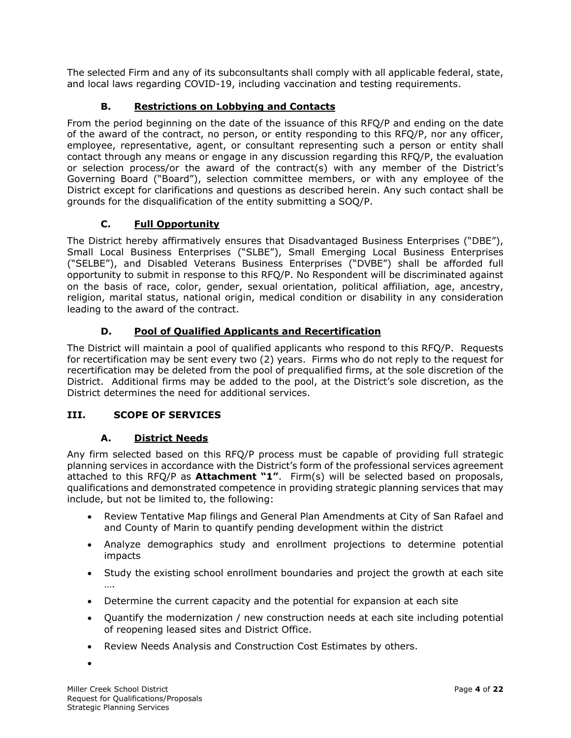The selected Firm and any of its subconsultants shall comply with all applicable federal, state, and local laws regarding COVID-19, including vaccination and testing requirements.

# **B. Restrictions on Lobbying and Contacts**

From the period beginning on the date of the issuance of this RFQ/P and ending on the date of the award of the contract, no person, or entity responding to this RFQ/P, nor any officer, employee, representative, agent, or consultant representing such a person or entity shall contact through any means or engage in any discussion regarding this RFQ/P, the evaluation or selection process/or the award of the contract(s) with any member of the District's Governing Board ("Board"), selection committee members, or with any employee of the District except for clarifications and questions as described herein. Any such contact shall be grounds for the disqualification of the entity submitting a SOQ/P.

# **C. Full Opportunity**

The District hereby affirmatively ensures that Disadvantaged Business Enterprises ("DBE"), Small Local Business Enterprises ("SLBE"), Small Emerging Local Business Enterprises ("SELBE"), and Disabled Veterans Business Enterprises ("DVBE") shall be afforded full opportunity to submit in response to this RFQ/P. No Respondent will be discriminated against on the basis of race, color, gender, sexual orientation, political affiliation, age, ancestry, religion, marital status, national origin, medical condition or disability in any consideration leading to the award of the contract.

# **D. Pool of Qualified Applicants and Recertification**

The District will maintain a pool of qualified applicants who respond to this RFQ/P. Requests for recertification may be sent every two (2) years. Firms who do not reply to the request for recertification may be deleted from the pool of prequalified firms, at the sole discretion of the District. Additional firms may be added to the pool, at the District's sole discretion, as the District determines the need for additional services.

# **III. SCOPE OF SERVICES**

# **A. District Needs**

Any firm selected based on this RFQ/P process must be capable of providing full strategic planning services in accordance with the District's form of the professional services agreement attached to this RFQ/P as **Attachment "1"**. Firm(s) will be selected based on proposals, qualifications and demonstrated competence in providing strategic planning services that may include, but not be limited to, the following:

- Review Tentative Map filings and General Plan Amendments at City of San Rafael and and County of Marin to quantify pending development within the district
- Analyze demographics study and enrollment projections to determine potential impacts
- Study the existing school enrollment boundaries and project the growth at each site ….
- Determine the current capacity and the potential for expansion at each site
- Quantify the modernization / new construction needs at each site including potential of reopening leased sites and District Office.
- Review Needs Analysis and Construction Cost Estimates by others.

•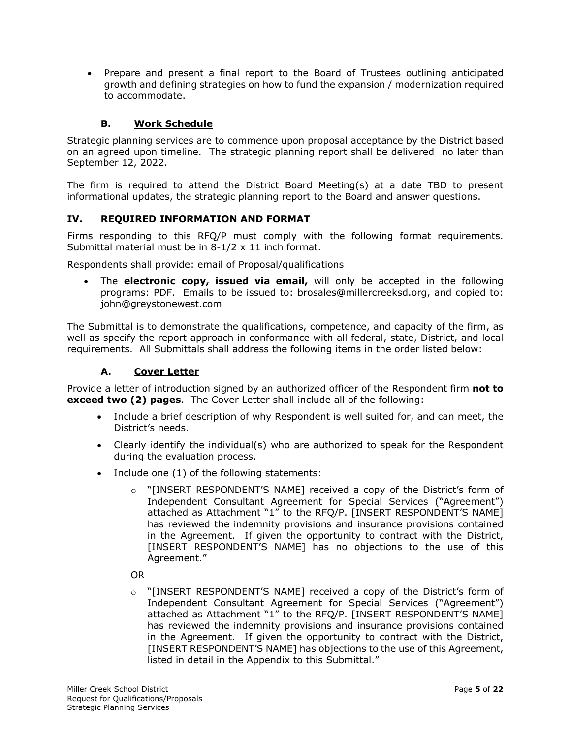• Prepare and present a final report to the Board of Trustees outlining anticipated growth and defining strategies on how to fund the expansion / modernization required to accommodate.

### **B. Work Schedule**

Strategic planning services are to commence upon proposal acceptance by the District based on an agreed upon timeline. The strategic planning report shall be delivered no later than September 12, 2022.

The firm is required to attend the District Board Meeting(s) at a date TBD to present informational updates, the strategic planning report to the Board and answer questions.

### **IV. REQUIRED INFORMATION AND FORMAT**

Firms responding to this RFQ/P must comply with the following format requirements. Submittal material must be in 8-1/2 x 11 inch format.

Respondents shall provide: email of Proposal/qualifications

• The **electronic copy, issued via email,** will only be accepted in the following programs: PDF. Emails to be issued to: [brosales@millercreeksd.org,](mailto:brosales@millercreeksd.org) and copied to: john@greystonewest.com

The Submittal is to demonstrate the qualifications, competence, and capacity of the firm, as well as specify the report approach in conformance with all federal, state, District, and local requirements. All Submittals shall address the following items in the order listed below:

### **A. Cover Letter**

Provide a letter of introduction signed by an authorized officer of the Respondent firm **not to exceed two (2) pages**. The Cover Letter shall include all of the following:

- Include a brief description of why Respondent is well suited for, and can meet, the District's needs.
- Clearly identify the individual(s) who are authorized to speak for the Respondent during the evaluation process.
- Include one (1) of the following statements:
	- $\circ$  "[INSERT RESPONDENT'S NAME] received a copy of the District's form of Independent Consultant Agreement for Special Services ("Agreement") attached as Attachment "1" to the RFQ/P. [INSERT RESPONDENT'S NAME] has reviewed the indemnity provisions and insurance provisions contained in the Agreement. If given the opportunity to contract with the District, [INSERT RESPONDENT'S NAME] has no objections to the use of this Agreement."

#### OR

 $\circ$  "[INSERT RESPONDENT'S NAME] received a copy of the District's form of Independent Consultant Agreement for Special Services ("Agreement") attached as Attachment "1" to the RFQ/P. [INSERT RESPONDENT'S NAME] has reviewed the indemnity provisions and insurance provisions contained in the Agreement. If given the opportunity to contract with the District, [INSERT RESPONDENT'S NAME] has objections to the use of this Agreement, listed in detail in the Appendix to this Submittal."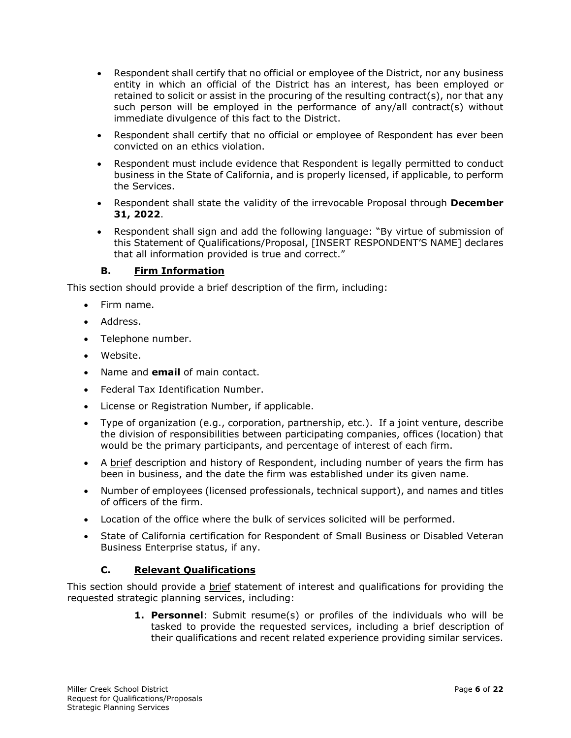- Respondent shall certify that no official or employee of the District, nor any business entity in which an official of the District has an interest, has been employed or retained to solicit or assist in the procuring of the resulting contract(s), nor that any such person will be employed in the performance of any/all contract(s) without immediate divulgence of this fact to the District.
- Respondent shall certify that no official or employee of Respondent has ever been convicted on an ethics violation.
- Respondent must include evidence that Respondent is legally permitted to conduct business in the State of California, and is properly licensed, if applicable, to perform the Services.
- Respondent shall state the validity of the irrevocable Proposal through **December 31, 2022**.
- Respondent shall sign and add the following language: "By virtue of submission of this Statement of Qualifications/Proposal, [INSERT RESPONDENT'S NAME] declares that all information provided is true and correct."

# **B. Firm Information**

This section should provide a brief description of the firm, including:

- Firm name.
- Address.
- Telephone number.
- Website.
- Name and **email** of main contact.
- Federal Tax Identification Number.
- License or Registration Number, if applicable.
- Type of organization (e.g., corporation, partnership, etc.). If a joint venture, describe the division of responsibilities between participating companies, offices (location) that would be the primary participants, and percentage of interest of each firm.
- A brief description and history of Respondent, including number of years the firm has been in business, and the date the firm was established under its given name.
- Number of employees (licensed professionals, technical support), and names and titles of officers of the firm.
- Location of the office where the bulk of services solicited will be performed.
- State of California certification for Respondent of Small Business or Disabled Veteran Business Enterprise status, if any.

# **C. Relevant Qualifications**

This section should provide a **brief** statement of interest and qualifications for providing the requested strategic planning services, including:

> **1. Personnel**: Submit resume(s) or profiles of the individuals who will be tasked to provide the requested services, including a brief description of their qualifications and recent related experience providing similar services.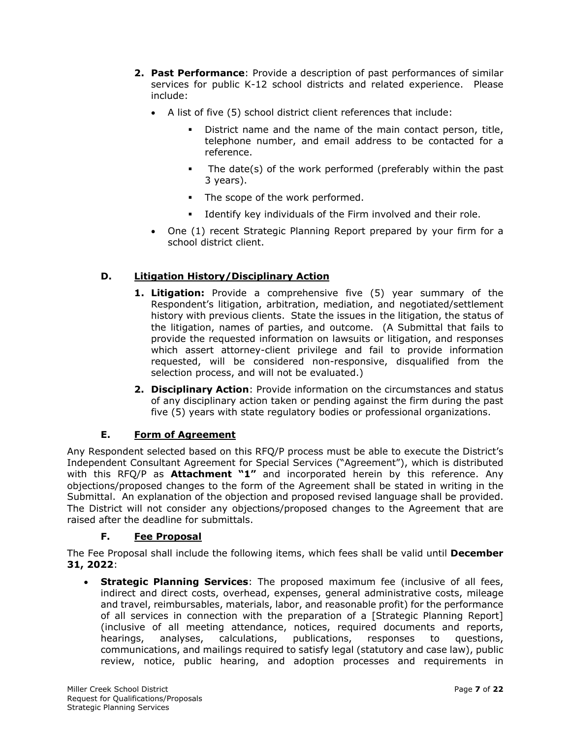- **2. Past Performance**: Provide a description of past performances of similar services for public K-12 school districts and related experience. Please include:
	- A list of five (5) school district client references that include:
		- District name and the name of the main contact person, title, telephone number, and email address to be contacted for a reference.
		- The date(s) of the work performed (preferably within the past 3 years).
		- The scope of the work performed.
		- Identify key individuals of the Firm involved and their role.
	- One (1) recent Strategic Planning Report prepared by your firm for a school district client.

# **D. Litigation History/Disciplinary Action**

- **1. Litigation:** Provide a comprehensive five (5) year summary of the Respondent's litigation, arbitration, mediation, and negotiated/settlement history with previous clients. State the issues in the litigation, the status of the litigation, names of parties, and outcome. (A Submittal that fails to provide the requested information on lawsuits or litigation, and responses which assert attorney-client privilege and fail to provide information requested, will be considered non-responsive, disqualified from the selection process, and will not be evaluated.)
- **2. Disciplinary Action**: Provide information on the circumstances and status of any disciplinary action taken or pending against the firm during the past five (5) years with state regulatory bodies or professional organizations.

# **E. Form of Agreement**

Any Respondent selected based on this RFQ/P process must be able to execute the District's Independent Consultant Agreement for Special Services ("Agreement"), which is distributed with this RFQ/P as **Attachment "1"** and incorporated herein by this reference. Any objections/proposed changes to the form of the Agreement shall be stated in writing in the Submittal. An explanation of the objection and proposed revised language shall be provided. The District will not consider any objections/proposed changes to the Agreement that are raised after the deadline for submittals.

### **F. Fee Proposal**

The Fee Proposal shall include the following items, which fees shall be valid until **December 31, 2022**:

• **Strategic Planning Services**: The proposed maximum fee (inclusive of all fees, indirect and direct costs, overhead, expenses, general administrative costs, mileage and travel, reimbursables, materials, labor, and reasonable profit) for the performance of all services in connection with the preparation of a [Strategic Planning Report] (inclusive of all meeting attendance, notices, required documents and reports, hearings, analyses, calculations, publications, responses to questions, communications, and mailings required to satisfy legal (statutory and case law), public review, notice, public hearing, and adoption processes and requirements in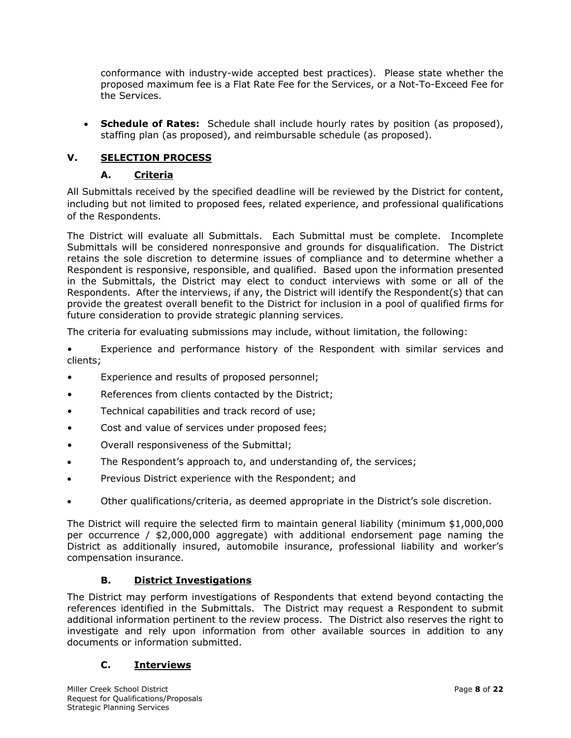conformance with industry-wide accepted best practices). Please state whether the proposed maximum fee is a Flat Rate Fee for the Services, or a Not-To-Exceed Fee for the Services.

• **Schedule of Rates:** Schedule shall include hourly rates by position (as proposed), staffing plan (as proposed), and reimbursable schedule (as proposed).

# **V. SELECTION PROCESS**

# **A. Criteria**

All Submittals received by the specified deadline will be reviewed by the District for content, including but not limited to proposed fees, related experience, and professional qualifications of the Respondents.

The District will evaluate all Submittals. Each Submittal must be complete. Incomplete Submittals will be considered nonresponsive and grounds for disqualification. The District retains the sole discretion to determine issues of compliance and to determine whether a Respondent is responsive, responsible, and qualified. Based upon the information presented in the Submittals, the District may elect to conduct interviews with some or all of the Respondents. After the interviews, if any, the District will identify the Respondent(s) that can provide the greatest overall benefit to the District for inclusion in a pool of qualified firms for future consideration to provide strategic planning services.

The criteria for evaluating submissions may include, without limitation, the following:

• Experience and performance history of the Respondent with similar services and clients;

- Experience and results of proposed personnel;
- References from clients contacted by the District;
- Technical capabilities and track record of use;
- Cost and value of services under proposed fees;
- Overall responsiveness of the Submittal;
- The Respondent's approach to, and understanding of, the services;
- Previous District experience with the Respondent; and
- Other qualifications/criteria, as deemed appropriate in the District's sole discretion.

The District will require the selected firm to maintain general liability (minimum \$1,000,000 per occurrence / \$2,000,000 aggregate) with additional endorsement page naming the District as additionally insured, automobile insurance, professional liability and worker's compensation insurance.

### **B. District Investigations**

The District may perform investigations of Respondents that extend beyond contacting the references identified in the Submittals. The District may request a Respondent to submit additional information pertinent to the review process. The District also reserves the right to investigate and rely upon information from other available sources in addition to any documents or information submitted.

# **C. Interviews**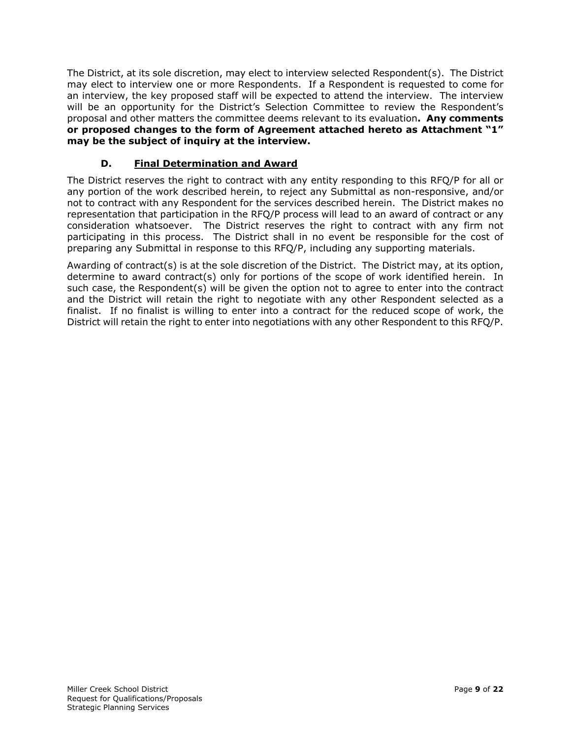The District, at its sole discretion, may elect to interview selected Respondent(s). The District may elect to interview one or more Respondents. If a Respondent is requested to come for an interview, the key proposed staff will be expected to attend the interview. The interview will be an opportunity for the District's Selection Committee to review the Respondent's proposal and other matters the committee deems relevant to its evaluation**. Any comments or proposed changes to the form of Agreement attached hereto as Attachment "1" may be the subject of inquiry at the interview.** 

# **D. Final Determination and Award**

The District reserves the right to contract with any entity responding to this RFQ/P for all or any portion of the work described herein, to reject any Submittal as non-responsive, and/or not to contract with any Respondent for the services described herein. The District makes no representation that participation in the RFQ/P process will lead to an award of contract or any consideration whatsoever. The District reserves the right to contract with any firm not participating in this process. The District shall in no event be responsible for the cost of preparing any Submittal in response to this RFQ/P, including any supporting materials.

Awarding of contract(s) is at the sole discretion of the District. The District may, at its option, determine to award contract(s) only for portions of the scope of work identified herein. In such case, the Respondent(s) will be given the option not to agree to enter into the contract and the District will retain the right to negotiate with any other Respondent selected as a finalist. If no finalist is willing to enter into a contract for the reduced scope of work, the District will retain the right to enter into negotiations with any other Respondent to this RFQ/P.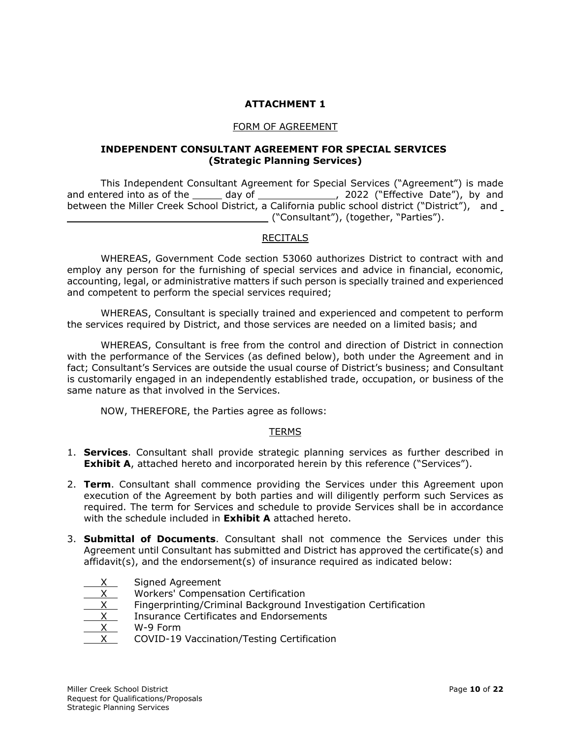# **ATTACHMENT 1**

#### FORM OF AGREEMENT

#### **INDEPENDENT CONSULTANT AGREEMENT FOR SPECIAL SERVICES (Strategic Planning Services)**

This Independent Consultant Agreement for Special Services ("Agreement") is made and entered into as of the \_\_\_\_\_\_ day of \_\_\_\_\_\_\_\_\_\_\_\_\_\_\_, 2022 ("Effective Date"), by and between the Miller Creek School District, a California public school district ("District"), and ("Consultant"), (together, "Parties").

# RECITALS

WHEREAS, Government Code section 53060 authorizes District to contract with and employ any person for the furnishing of special services and advice in financial, economic, accounting, legal, or administrative matters if such person is specially trained and experienced and competent to perform the special services required;

WHEREAS, Consultant is specially trained and experienced and competent to perform the services required by District, and those services are needed on a limited basis; and

WHEREAS, Consultant is free from the control and direction of District in connection with the performance of the Services (as defined below), both under the Agreement and in fact; Consultant's Services are outside the usual course of District's business; and Consultant is customarily engaged in an independently established trade, occupation, or business of the same nature as that involved in the Services.

NOW, THEREFORE, the Parties agree as follows:

### TERMS

- 1. **Services**. Consultant shall provide strategic planning services as further described in **Exhibit A**, attached hereto and incorporated herein by this reference ("Services").
- 2. **Term**. Consultant shall commence providing the Services under this Agreement upon execution of the Agreement by both parties and will diligently perform such Services as required. The term for Services and schedule to provide Services shall be in accordance with the schedule included in **Exhibit A** attached hereto.
- 3. **Submittal of Documents**. Consultant shall not commence the Services under this Agreement until Consultant has submitted and District has approved the certificate(s) and affidavit(s), and the endorsement(s) of insurance required as indicated below:
	- Signed Agreement
	- $X$  Workers' Compensation Certification<br> $X$  Fingerprinting/Criminal Background I
	- Fingerprinting/Criminal Background Investigation Certification
	- Insurance Certificates and Endorsements
	- W-9 Form
	- COVID-19 Vaccination/Testing Certification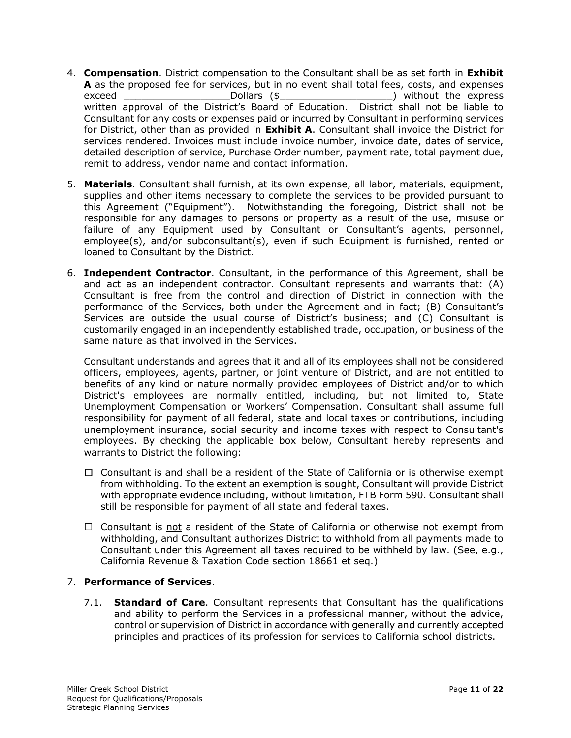- 4. **Compensation**. District compensation to the Consultant shall be as set forth in **Exhibit A** as the proposed fee for services, but in no event shall total fees, costs, and expenses exceed and the Dollars (\$  $\sim$  ) without the express written approval of the District's Board of Education. District shall not be liable to Consultant for any costs or expenses paid or incurred by Consultant in performing services for District, other than as provided in **Exhibit A**. Consultant shall invoice the District for services rendered. Invoices must include invoice number, invoice date, dates of service, detailed description of service, Purchase Order number, payment rate, total payment due, remit to address, vendor name and contact information.
- 5. **Materials**. Consultant shall furnish, at its own expense, all labor, materials, equipment, supplies and other items necessary to complete the services to be provided pursuant to this Agreement ("Equipment"). Notwithstanding the foregoing, District shall not be responsible for any damages to persons or property as a result of the use, misuse or failure of any Equipment used by Consultant or Consultant's agents, personnel, employee(s), and/or subconsultant(s), even if such Equipment is furnished, rented or loaned to Consultant by the District.
- 6. **Independent Contractor**. Consultant, in the performance of this Agreement, shall be and act as an independent contractor. Consultant represents and warrants that: (A) Consultant is free from the control and direction of District in connection with the performance of the Services, both under the Agreement and in fact; (B) Consultant's Services are outside the usual course of District's business; and (C) Consultant is customarily engaged in an independently established trade, occupation, or business of the same nature as that involved in the Services.

Consultant understands and agrees that it and all of its employees shall not be considered officers, employees, agents, partner, or joint venture of District, and are not entitled to benefits of any kind or nature normally provided employees of District and/or to which District's employees are normally entitled, including, but not limited to, State Unemployment Compensation or Workers' Compensation. Consultant shall assume full responsibility for payment of all federal, state and local taxes or contributions, including unemployment insurance, social security and income taxes with respect to Consultant's employees. By checking the applicable box below, Consultant hereby represents and warrants to District the following:

- $\Box$  Consultant is and shall be a resident of the State of California or is otherwise exempt from withholding. To the extent an exemption is sought, Consultant will provide District with appropriate evidence including, without limitation, FTB Form 590. Consultant shall still be responsible for payment of all state and federal taxes.
- $\Box$  Consultant is not a resident of the State of California or otherwise not exempt from withholding, and Consultant authorizes District to withhold from all payments made to Consultant under this Agreement all taxes required to be withheld by law. (See, e.g., California Revenue & Taxation Code section 18661 et seq.)

# 7. **Performance of Services**.

7.1. **Standard of Care**. Consultant represents that Consultant has the qualifications and ability to perform the Services in a professional manner, without the advice, control or supervision of District in accordance with generally and currently accepted principles and practices of its profession for services to California school districts.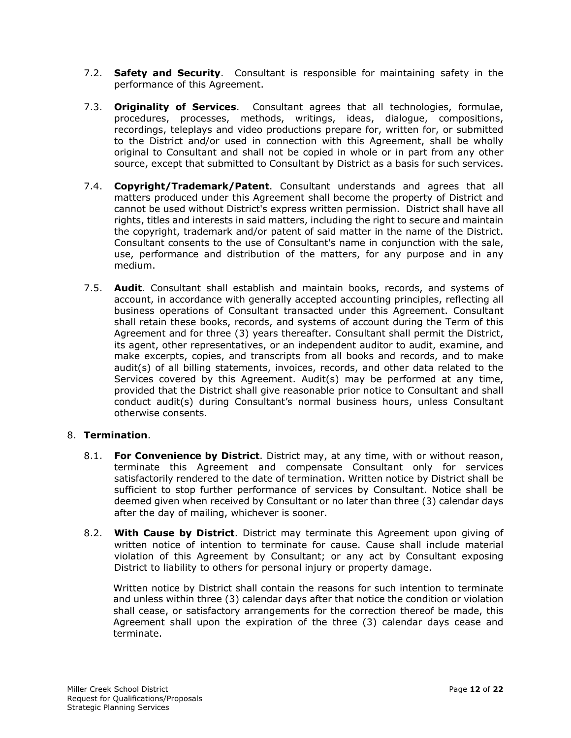- 7.2. **Safety and Security**. Consultant is responsible for maintaining safety in the performance of this Agreement.
- 7.3. **Originality of Services**. Consultant agrees that all technologies, formulae, procedures, processes, methods, writings, ideas, dialogue, compositions, recordings, teleplays and video productions prepare for, written for, or submitted to the District and/or used in connection with this Agreement, shall be wholly original to Consultant and shall not be copied in whole or in part from any other source, except that submitted to Consultant by District as a basis for such services.
- 7.4. **Copyright/Trademark/Patent**. Consultant understands and agrees that all matters produced under this Agreement shall become the property of District and cannot be used without District's express written permission. District shall have all rights, titles and interests in said matters, including the right to secure and maintain the copyright, trademark and/or patent of said matter in the name of the District. Consultant consents to the use of Consultant's name in conjunction with the sale, use, performance and distribution of the matters, for any purpose and in any medium.
- 7.5. **Audit**. Consultant shall establish and maintain books, records, and systems of account, in accordance with generally accepted accounting principles, reflecting all business operations of Consultant transacted under this Agreement. Consultant shall retain these books, records, and systems of account during the Term of this Agreement and for three (3) years thereafter. Consultant shall permit the District, its agent, other representatives, or an independent auditor to audit, examine, and make excerpts, copies, and transcripts from all books and records, and to make audit(s) of all billing statements, invoices, records, and other data related to the Services covered by this Agreement. Audit(s) may be performed at any time, provided that the District shall give reasonable prior notice to Consultant and shall conduct audit(s) during Consultant's normal business hours, unless Consultant otherwise consents.

# 8. **Termination**.

- 8.1. **For Convenience by District**. District may, at any time, with or without reason, terminate this Agreement and compensate Consultant only for services satisfactorily rendered to the date of termination. Written notice by District shall be sufficient to stop further performance of services by Consultant. Notice shall be deemed given when received by Consultant or no later than three (3) calendar days after the day of mailing, whichever is sooner.
- 8.2. **With Cause by District**. District may terminate this Agreement upon giving of written notice of intention to terminate for cause. Cause shall include material violation of this Agreement by Consultant; or any act by Consultant exposing District to liability to others for personal injury or property damage.

Written notice by District shall contain the reasons for such intention to terminate and unless within three (3) calendar days after that notice the condition or violation shall cease, or satisfactory arrangements for the correction thereof be made, this Agreement shall upon the expiration of the three (3) calendar days cease and terminate.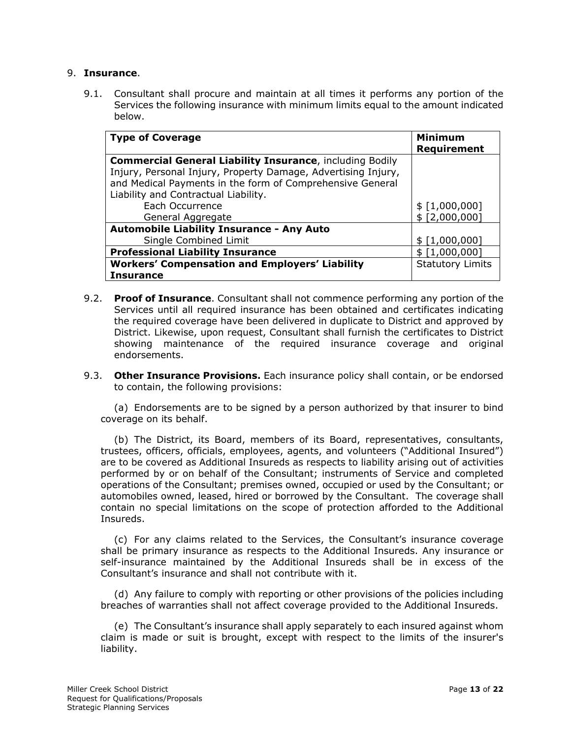### 9. **Insurance**.

9.1. Consultant shall procure and maintain at all times it performs any portion of the Services the following insurance with minimum limits equal to the amount indicated below.

| <b>Type of Coverage</b>                                         | <b>Minimum</b><br>Requirement |
|-----------------------------------------------------------------|-------------------------------|
| <b>Commercial General Liability Insurance, including Bodily</b> |                               |
| Injury, Personal Injury, Property Damage, Advertising Injury,   |                               |
| and Medical Payments in the form of Comprehensive General       |                               |
| Liability and Contractual Liability.                            |                               |
| Each Occurrence                                                 | \$ [1,000,000]                |
| General Aggregate                                               | \$ [2,000,000]                |
| <b>Automobile Liability Insurance - Any Auto</b>                |                               |
| Single Combined Limit                                           | \$ [1,000,000]                |
| <b>Professional Liability Insurance</b>                         | \$ [1,000,000]                |
| <b>Workers' Compensation and Employers' Liability</b>           | <b>Statutory Limits</b>       |
| Insurance                                                       |                               |

- 9.2. **Proof of Insurance**. Consultant shall not commence performing any portion of the Services until all required insurance has been obtained and certificates indicating the required coverage have been delivered in duplicate to District and approved by District. Likewise, upon request, Consultant shall furnish the certificates to District showing maintenance of the required insurance coverage and original endorsements.
- 9.3. **Other Insurance Provisions.** Each insurance policy shall contain, or be endorsed to contain, the following provisions:

(a) Endorsements are to be signed by a person authorized by that insurer to bind coverage on its behalf.

(b) The District, its Board, members of its Board, representatives, consultants, trustees, officers, officials, employees, agents, and volunteers ("Additional Insured") are to be covered as Additional Insureds as respects to liability arising out of activities performed by or on behalf of the Consultant; instruments of Service and completed operations of the Consultant; premises owned, occupied or used by the Consultant; or automobiles owned, leased, hired or borrowed by the Consultant. The coverage shall contain no special limitations on the scope of protection afforded to the Additional Insureds.

(c) For any claims related to the Services, the Consultant's insurance coverage shall be primary insurance as respects to the Additional Insureds. Any insurance or self-insurance maintained by the Additional Insureds shall be in excess of the Consultant's insurance and shall not contribute with it.

(d) Any failure to comply with reporting or other provisions of the policies including breaches of warranties shall not affect coverage provided to the Additional Insureds.

(e) The Consultant's insurance shall apply separately to each insured against whom claim is made or suit is brought, except with respect to the limits of the insurer's liability.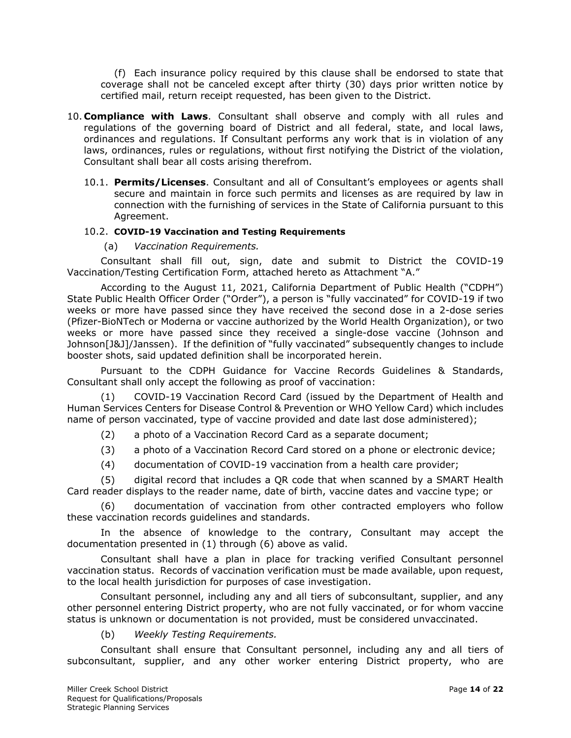(f) Each insurance policy required by this clause shall be endorsed to state that coverage shall not be canceled except after thirty (30) days prior written notice by certified mail, return receipt requested, has been given to the District.

- 10. **Compliance with Laws**. Consultant shall observe and comply with all rules and regulations of the governing board of District and all federal, state, and local laws, ordinances and regulations. If Consultant performs any work that is in violation of any laws, ordinances, rules or regulations, without first notifying the District of the violation, Consultant shall bear all costs arising therefrom.
	- 10.1. **Permits/Licenses**. Consultant and all of Consultant's employees or agents shall secure and maintain in force such permits and licenses as are required by law in connection with the furnishing of services in the State of California pursuant to this Agreement.

### 10.2. **COVID-19 Vaccination and Testing Requirements**

(a) *Vaccination Requirements.*

Consultant shall fill out, sign, date and submit to District the COVID-19 Vaccination/Testing Certification Form, attached hereto as Attachment "A."

According to the August 11, 2021, California Department of Public Health ("CDPH") State Public Health Officer Order ("Order"), a person is "fully vaccinated" for COVID-19 if two weeks or more have passed since they have received the second dose in a 2-dose series (Pfizer-BioNTech or Moderna or vaccine authorized by the World Health Organization), or two weeks or more have passed since they received a single-dose vaccine (Johnson and Johnson[J&J]/Janssen). If the definition of "fully vaccinated" subsequently changes to include booster shots, said updated definition shall be incorporated herein.

Pursuant to the CDPH Guidance for Vaccine Records Guidelines & Standards, Consultant shall only accept the following as proof of vaccination:

(1) COVID-19 Vaccination Record Card (issued by the Department of Health and Human Services Centers for Disease Control & Prevention or WHO Yellow Card) which includes name of person vaccinated, type of vaccine provided and date last dose administered);

- (2) a photo of a Vaccination Record Card as a separate document;
- (3) a photo of a Vaccination Record Card stored on a phone or electronic device;
- (4) documentation of COVID-19 vaccination from a health care provider;

(5) digital record that includes a QR code that when scanned by a SMART Health Card reader displays to the reader name, date of birth, vaccine dates and vaccine type; or

(6) documentation of vaccination from other contracted employers who follow these vaccination records guidelines and standards.

In the absence of knowledge to the contrary, Consultant may accept the documentation presented in (1) through (6) above as valid.

Consultant shall have a plan in place for tracking verified Consultant personnel vaccination status. Records of vaccination verification must be made available, upon request, to the local health jurisdiction for purposes of case investigation.

Consultant personnel, including any and all tiers of subconsultant, supplier, and any other personnel entering District property, who are not fully vaccinated, or for whom vaccine status is unknown or documentation is not provided, must be considered unvaccinated.

#### (b) *Weekly Testing Requirements.*

Consultant shall ensure that Consultant personnel, including any and all tiers of subconsultant, supplier, and any other worker entering District property, who are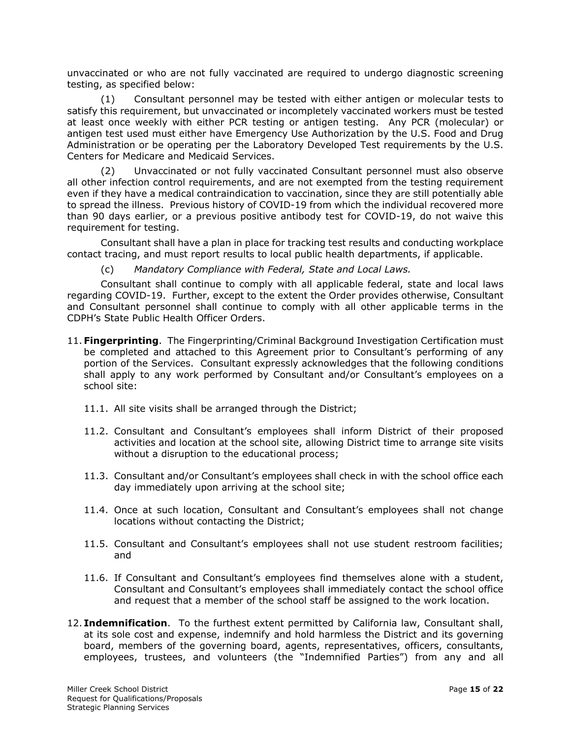unvaccinated or who are not fully vaccinated are required to undergo diagnostic screening testing, as specified below:

(1) Consultant personnel may be tested with either antigen or molecular tests to satisfy this requirement, but unvaccinated or incompletely vaccinated workers must be tested at least once weekly with either PCR testing or antigen testing. Any PCR (molecular) or antigen test used must either have Emergency Use Authorization by the U.S. Food and Drug Administration or be operating per the Laboratory Developed Test requirements by the U.S. Centers for Medicare and Medicaid Services.

(2) Unvaccinated or not fully vaccinated Consultant personnel must also observe all other infection control requirements, and are not exempted from the testing requirement even if they have a medical contraindication to vaccination, since they are still potentially able to spread the illness. Previous history of COVID-19 from which the individual recovered more than 90 days earlier, or a previous positive antibody test for COVID-19, do not waive this requirement for testing.

Consultant shall have a plan in place for tracking test results and conducting workplace contact tracing, and must report results to local public health departments, if applicable.

(c) *Mandatory Compliance with Federal, State and Local Laws.*

Consultant shall continue to comply with all applicable federal, state and local laws regarding COVID-19. Further, except to the extent the Order provides otherwise, Consultant and Consultant personnel shall continue to comply with all other applicable terms in the CDPH's State Public Health Officer Orders.

- 11. **Fingerprinting**.The Fingerprinting/Criminal Background Investigation Certification must be completed and attached to this Agreement prior to Consultant's performing of any portion of the Services. Consultant expressly acknowledges that the following conditions shall apply to any work performed by Consultant and/or Consultant's employees on a school site:
	- 11.1. All site visits shall be arranged through the District;
	- 11.2. Consultant and Consultant's employees shall inform District of their proposed activities and location at the school site, allowing District time to arrange site visits without a disruption to the educational process;
	- 11.3. Consultant and/or Consultant's employees shall check in with the school office each day immediately upon arriving at the school site;
	- 11.4. Once at such location, Consultant and Consultant's employees shall not change locations without contacting the District;
	- 11.5. Consultant and Consultant's employees shall not use student restroom facilities; and
	- 11.6. If Consultant and Consultant's employees find themselves alone with a student, Consultant and Consultant's employees shall immediately contact the school office and request that a member of the school staff be assigned to the work location.
- 12. **Indemnification**. To the furthest extent permitted by California law, Consultant shall, at its sole cost and expense, indemnify and hold harmless the District and its governing board, members of the governing board, agents, representatives, officers, consultants, employees, trustees, and volunteers (the "Indemnified Parties") from any and all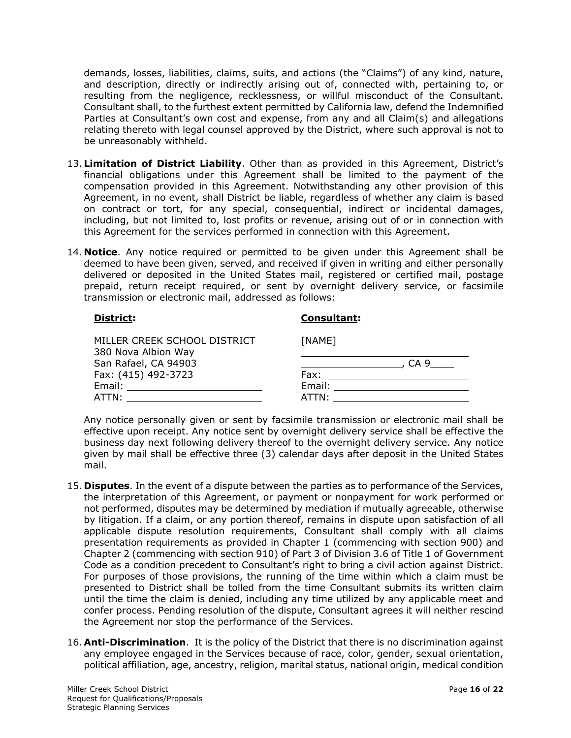demands, losses, liabilities, claims, suits, and actions (the "Claims") of any kind, nature, and description, directly or indirectly arising out of, connected with, pertaining to, or resulting from the negligence, recklessness, or willful misconduct of the Consultant. Consultant shall, to the furthest extent permitted by California law, defend the Indemnified Parties at Consultant's own cost and expense, from any and all Claim(s) and allegations relating thereto with legal counsel approved by the District, where such approval is not to be unreasonably withheld.

- 13. **Limitation of District Liability**. Other than as provided in this Agreement, District's financial obligations under this Agreement shall be limited to the payment of the compensation provided in this Agreement. Notwithstanding any other provision of this Agreement, in no event, shall District be liable, regardless of whether any claim is based on contract or tort, for any special, consequential, indirect or incidental damages, including, but not limited to, lost profits or revenue, arising out of or in connection with this Agreement for the services performed in connection with this Agreement.
- 14. **Notice**. Any notice required or permitted to be given under this Agreement shall be deemed to have been given, served, and received if given in writing and either personally delivered or deposited in the United States mail, registered or certified mail, postage prepaid, return receipt required, or sent by overnight delivery service, or facsimile transmission or electronic mail, addressed as follows:

### **District:**

### **Consultant:**

| MILLER CREEK SCHOOL DISTRICT<br>380 Nova Albion Way | [NAME] |      |
|-----------------------------------------------------|--------|------|
| San Rafael, CA 94903                                |        | CA 9 |
| Fax: (415) 492-3723                                 | Fax:   |      |
| Email:                                              | Email: |      |
| ATTN:                                               | ATTN:  |      |

Any notice personally given or sent by facsimile transmission or electronic mail shall be effective upon receipt. Any notice sent by overnight delivery service shall be effective the business day next following delivery thereof to the overnight delivery service. Any notice given by mail shall be effective three (3) calendar days after deposit in the United States mail.

- 15. **Disputes**. In the event of a dispute between the parties as to performance of the Services, the interpretation of this Agreement, or payment or nonpayment for work performed or not performed, disputes may be determined by mediation if mutually agreeable, otherwise by litigation. If a claim, or any portion thereof, remains in dispute upon satisfaction of all applicable dispute resolution requirements, Consultant shall comply with all claims presentation requirements as provided in Chapter 1 (commencing with section 900) and Chapter 2 (commencing with section 910) of Part 3 of Division 3.6 of Title 1 of Government Code as a condition precedent to Consultant's right to bring a civil action against District. For purposes of those provisions, the running of the time within which a claim must be presented to District shall be tolled from the time Consultant submits its written claim until the time the claim is denied, including any time utilized by any applicable meet and confer process. Pending resolution of the dispute, Consultant agrees it will neither rescind the Agreement nor stop the performance of the Services.
- 16. **Anti-Discrimination**. It is the policy of the District that there is no discrimination against any employee engaged in the Services because of race, color, gender, sexual orientation, political affiliation, age, ancestry, religion, marital status, national origin, medical condition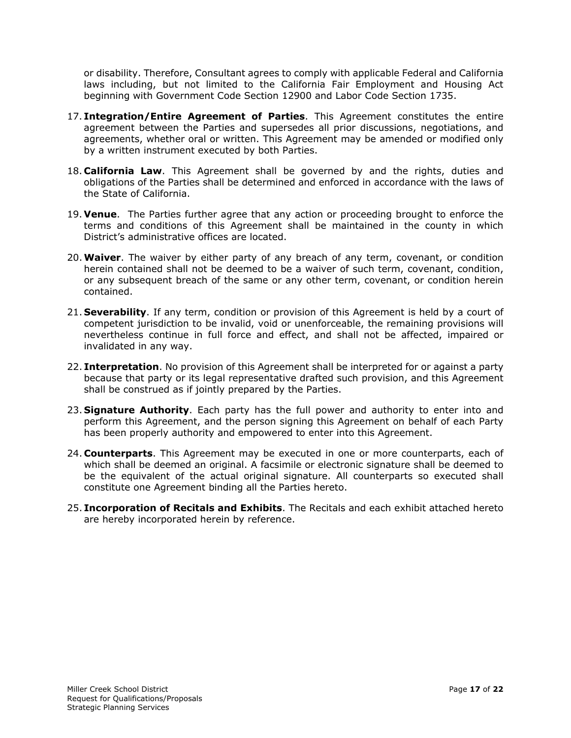or disability. Therefore, Consultant agrees to comply with applicable Federal and California laws including, but not limited to the California Fair Employment and Housing Act beginning with Government Code Section 12900 and Labor Code Section 1735.

- 17. **Integration/Entire Agreement of Parties**. This Agreement constitutes the entire agreement between the Parties and supersedes all prior discussions, negotiations, and agreements, whether oral or written. This Agreement may be amended or modified only by a written instrument executed by both Parties.
- 18. **California Law**. This Agreement shall be governed by and the rights, duties and obligations of the Parties shall be determined and enforced in accordance with the laws of the State of California.
- 19. **Venue**. The Parties further agree that any action or proceeding brought to enforce the terms and conditions of this Agreement shall be maintained in the county in which District's administrative offices are located.
- 20.**Waiver**. The waiver by either party of any breach of any term, covenant, or condition herein contained shall not be deemed to be a waiver of such term, covenant, condition, or any subsequent breach of the same or any other term, covenant, or condition herein contained.
- 21. **Severability**. If any term, condition or provision of this Agreement is held by a court of competent jurisdiction to be invalid, void or unenforceable, the remaining provisions will nevertheless continue in full force and effect, and shall not be affected, impaired or invalidated in any way.
- 22. **Interpretation**. No provision of this Agreement shall be interpreted for or against a party because that party or its legal representative drafted such provision, and this Agreement shall be construed as if jointly prepared by the Parties.
- 23. **Signature Authority**. Each party has the full power and authority to enter into and perform this Agreement, and the person signing this Agreement on behalf of each Party has been properly authority and empowered to enter into this Agreement.
- 24. **Counterparts**. This Agreement may be executed in one or more counterparts, each of which shall be deemed an original. A facsimile or electronic signature shall be deemed to be the equivalent of the actual original signature. All counterparts so executed shall constitute one Agreement binding all the Parties hereto.
- 25. **Incorporation of Recitals and Exhibits**. The Recitals and each exhibit attached hereto are hereby incorporated herein by reference.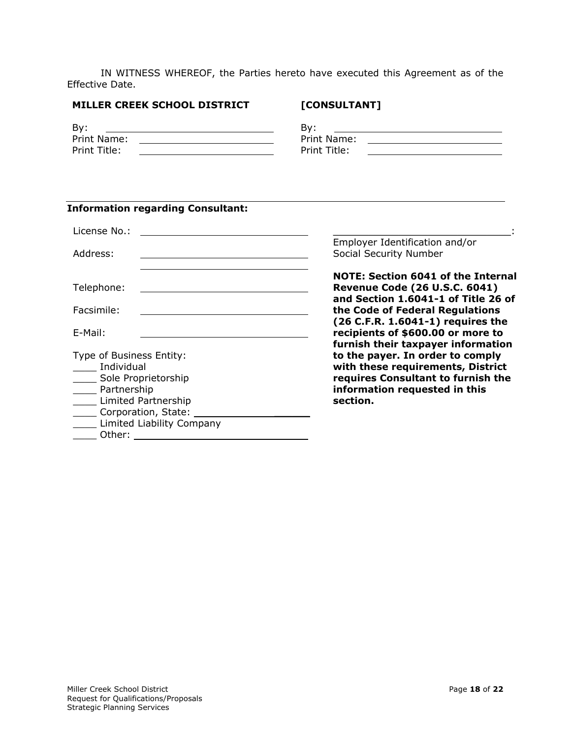IN WITNESS WHEREOF, the Parties hereto have executed this Agreement as of the Effective Date.

#### **MILLER CREEK SCHOOL DISTRICT**

# **[CONSULTANT]**

| By:          | By:          |
|--------------|--------------|
| Print Name:  | Print Name:  |
| Print Title: | Print Title: |

# **Information regarding Consultant:**

| License No.:                                                                                                                                                                                                                                                                                                                                                                                                                                      |                                                                                                                                                          |
|---------------------------------------------------------------------------------------------------------------------------------------------------------------------------------------------------------------------------------------------------------------------------------------------------------------------------------------------------------------------------------------------------------------------------------------------------|----------------------------------------------------------------------------------------------------------------------------------------------------------|
| Address:                                                                                                                                                                                                                                                                                                                                                                                                                                          | Employer Identification and/or<br>Social Security Number                                                                                                 |
| Telephone:                                                                                                                                                                                                                                                                                                                                                                                                                                        | <b>NOTE: Section 6041 of the Internal</b><br><b>Revenue Code (26 U.S.C. 6041)</b><br>and Section 1.6041-1 of Title 26 of                                 |
| Facsimile:                                                                                                                                                                                                                                                                                                                                                                                                                                        | the Code of Federal Regulations                                                                                                                          |
| E-Mail:                                                                                                                                                                                                                                                                                                                                                                                                                                           | (26 C.F.R. 1.6041-1) requires the<br>recipients of \$600.00 or more to<br>furnish their taxpayer information                                             |
| Type of Business Entity:<br>Individual<br>Sole Proprietorship<br>$\mathcal{L}^{\text{max}}$<br>_____ Partnership<br>Limited Partnership<br>Corporation, State: Corporation, State:<br>Limited Liability Company<br>Other: the contract of the contract of the contract of the contract of the contract of the contract of the contract of the contract of the contract of the contract of the contract of the contract of the contract of the con | to the payer. In order to comply<br>with these requirements, District<br>requires Consultant to furnish the<br>information requested in this<br>section. |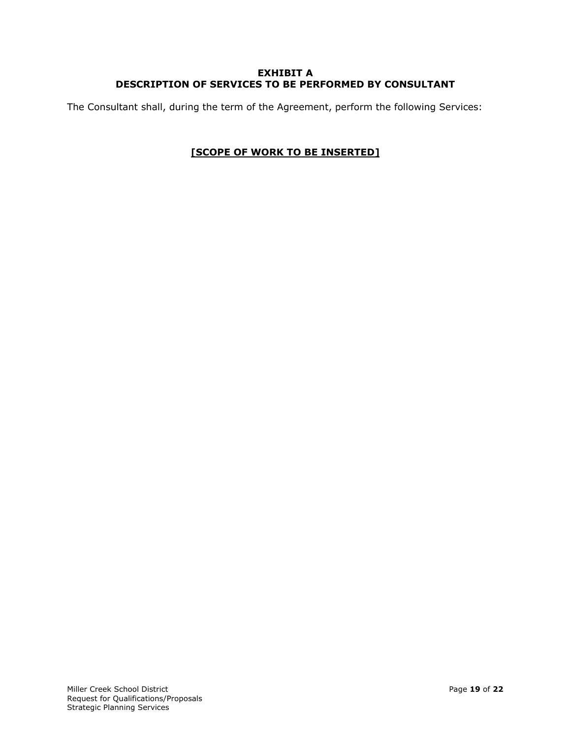### **EXHIBIT A DESCRIPTION OF SERVICES TO BE PERFORMED BY CONSULTANT**

The Consultant shall, during the term of the Agreement, perform the following Services:

# **[SCOPE OF WORK TO BE INSERTED]**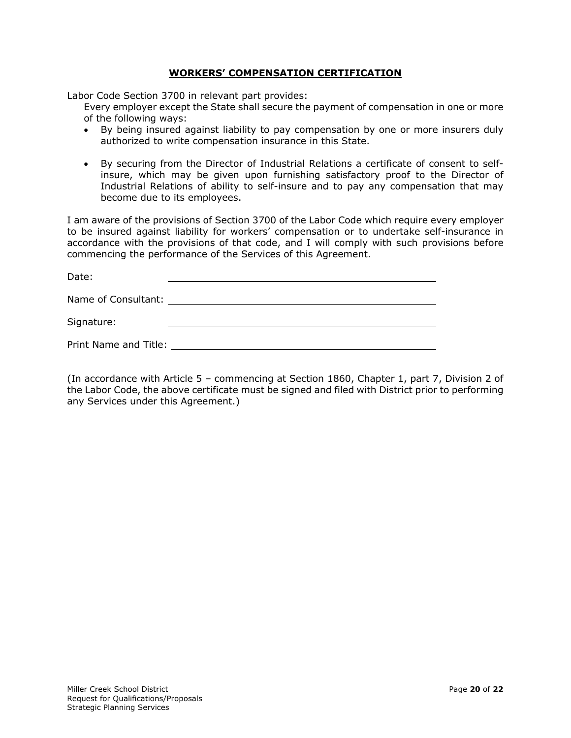### **WORKERS' COMPENSATION CERTIFICATION**

Labor Code Section 3700 in relevant part provides:

Every employer except the State shall secure the payment of compensation in one or more of the following ways:

- By being insured against liability to pay compensation by one or more insurers duly authorized to write compensation insurance in this State.
- By securing from the Director of Industrial Relations a certificate of consent to selfinsure, which may be given upon furnishing satisfactory proof to the Director of Industrial Relations of ability to self-insure and to pay any compensation that may become due to its employees.

I am aware of the provisions of Section 3700 of the Labor Code which require every employer to be insured against liability for workers' compensation or to undertake self-insurance in accordance with the provisions of that code, and I will comply with such provisions before commencing the performance of the Services of this Agreement.

| Date:                                |  |
|--------------------------------------|--|
| Name of Consultant: ________________ |  |
| Signature:                           |  |
| Print Name and Title: _              |  |

(In accordance with Article 5 – commencing at Section 1860, Chapter 1, part 7, Division 2 of the Labor Code, the above certificate must be signed and filed with District prior to performing any Services under this Agreement.)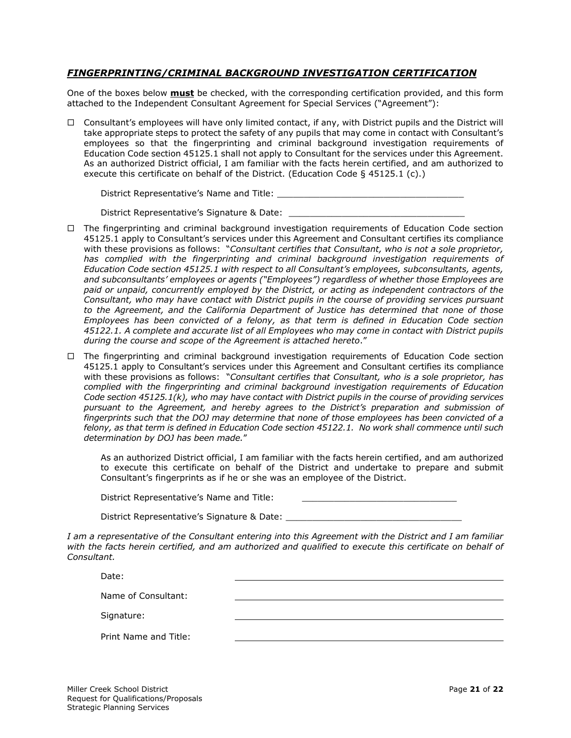### *FINGERPRINTING/CRIMINAL BACKGROUND INVESTIGATION CERTIFICATION*

One of the boxes below **must** be checked, with the corresponding certification provided, and this form attached to the Independent Consultant Agreement for Special Services ("Agreement"):

 $\Box$  Consultant's employees will have only limited contact, if any, with District pupils and the District will take appropriate steps to protect the safety of any pupils that may come in contact with Consultant's employees so that the fingerprinting and criminal background investigation requirements of Education Code section 45125.1 shall not apply to Consultant for the services under this Agreement. As an authorized District official, I am familiar with the facts herein certified, and am authorized to execute this certificate on behalf of the District. (Education Code § 45125.1 (c).)

District Representative's Name and Title:

District Representative's Signature & Date:

- $\Box$  The fingerprinting and criminal background investigation requirements of Education Code section 45125.1 apply to Consultant's services under this Agreement and Consultant certifies its compliance with these provisions as follows: "*Consultant certifies that Consultant, who is not a sole proprietor, has complied with the fingerprinting and criminal background investigation requirements of Education Code section 45125.1 with respect to all Consultant's employees, subconsultants, agents, and subconsultants' employees or agents ("Employees") regardless of whether those Employees are paid or unpaid, concurrently employed by the District, or acting as independent contractors of the Consultant, who may have contact with District pupils in the course of providing services pursuant to the Agreement, and the California Department of Justice has determined that none of those Employees has been convicted of a felony, as that term is defined in Education Code section 45122.1. A complete and accurate list of all Employees who may come in contact with District pupils during the course and scope of the Agreement is attached hereto*."
- $\Box$  The fingerprinting and criminal background investigation requirements of Education Code section 45125.1 apply to Consultant's services under this Agreement and Consultant certifies its compliance with these provisions as follows: "*Consultant certifies that Consultant, who is a sole proprietor, has complied with the fingerprinting and criminal background investigation requirements of Education Code section 45125.1(k), who may have contact with District pupils in the course of providing services pursuant to the Agreement, and hereby agrees to the District's preparation and submission of fingerprints such that the DOJ may determine that none of those employees has been convicted of a felony, as that term is defined in Education Code section 45122.1. No work shall commence until such determination by DOJ has been made.*"

As an authorized District official, I am familiar with the facts herein certified, and am authorized to execute this certificate on behalf of the District and undertake to prepare and submit Consultant's fingerprints as if he or she was an employee of the District.

| District Representative's Name and Title: |  |
|-------------------------------------------|--|
|                                           |  |

District Representative's Signature & Date:

*I am a representative of the Consultant entering into this Agreement with the District and I am familiar with the facts herein certified, and am authorized and qualified to execute this certificate on behalf of Consultant.*

Date:

Name of Consultant:

Signature:

| Print Name and Title: |  |  |  |
|-----------------------|--|--|--|
|-----------------------|--|--|--|